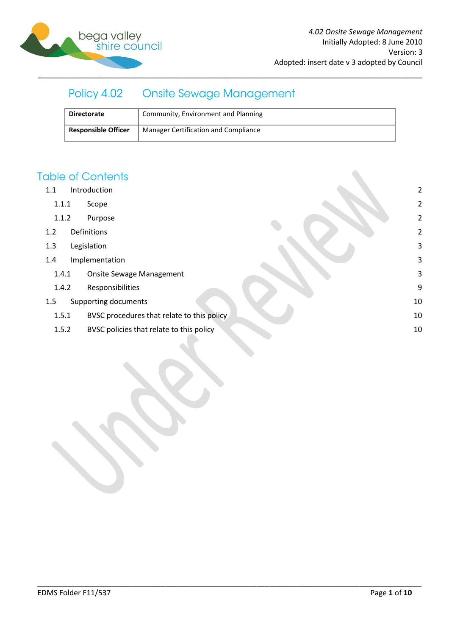

#### Policy 4.02 **Onsite Sewage Management**

| <b>Directorate</b>         | Community, Environment and Planning         |
|----------------------------|---------------------------------------------|
| <b>Responsible Officer</b> | <b>Manager Certification and Compliance</b> |

# **Table of Contents**

- 1.1 [Introduction](#page-1-0) 2
	- 1.1.1 [Scope](#page-1-1) 2
	- 1.1.2 [Purpose](#page-1-2) 2
- 1.2 [Definitions](#page-1-3) 2
- 1.3 [Legislation](#page-2-0) 3
- 1.4 [Implementation](#page-2-1) 3
	- 1.4.1 [Onsite Sewage Management](#page-2-2) 3
	- 1.4.2 [Responsibilities](#page-8-0) 9
- 1.5 [Supporting documents](#page-9-0) 10
	- 1.5.1 [BVSC procedures that relate to this policy](#page-9-1) 10 and 10 and 10 and 10 and 10 and 10 and 10 and 10 and 10 and 10 and 10 and 10 and 10 and 10 and 10 and 10 and 10 and 10 and 10 and 10 and 10 and 10 and 10 and 10 and 10 an

\_\_\_\_\_\_\_\_\_\_\_\_\_\_\_\_\_\_\_\_\_\_\_\_\_\_\_\_\_\_\_\_\_\_\_\_\_\_\_\_\_\_\_\_\_\_\_\_\_\_\_\_\_\_\_\_\_\_\_\_\_\_\_\_\_\_\_\_\_\_\_\_\_\_\_\_\_\_\_\_\_\_\_\_\_\_\_\_\_\_\_\_\_

1.5.2 [BVSC policies that relate to this policy](#page-9-2) 10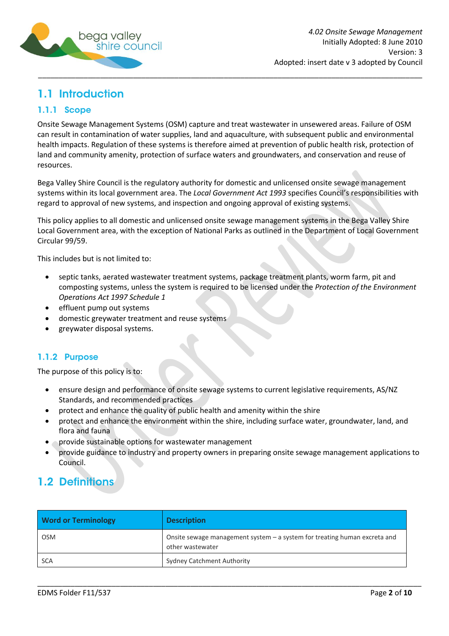

# <span id="page-1-0"></span>1.1 Introduction

### <span id="page-1-1"></span>1.1.1 Scope

Onsite Sewage Management Systems (OSM) capture and treat wastewater in unsewered areas. Failure of OSM can result in contamination of water supplies, land and aquaculture, with subsequent public and environmental health impacts. Regulation of these systems is therefore aimed at prevention of public health risk, protection of land and community amenity, protection of surface waters and groundwaters, and conservation and reuse of resources.

Bega Valley Shire Council is the regulatory authority for domestic and unlicensed onsite sewage management systems within its local government area. The *Local Government Act 1993* specifies Council's responsibilities with regard to approval of new systems, and inspection and ongoing approval of existing systems.

This policy applies to all domestic and unlicensed onsite sewage management systems in the Bega Valley Shire Local Government area, with the exception of National Parks as outlined in the Department of Local Government Circular 99/59.

This includes but is not limited to:

- septic tanks, aerated wastewater treatment systems, package treatment plants, worm farm, pit and composting systems, unless the system is required to be licensed under the *Protection of the Environment Operations Act 1997 Schedule 1*
- effluent pump out systems
- domestic greywater treatment and reuse systems
- greywater disposal systems.

### <span id="page-1-2"></span>1.1.2 Purpose

The purpose of this policy is to:

- ensure design and performance of onsite sewage systems to current legislative requirements, AS/NZ Standards, and recommended practices
- protect and enhance the quality of public health and amenity within the shire
- protect and enhance the environment within the shire, including surface water, groundwater, land, and flora and fauna
- provide sustainable options for wastewater management
- provide guidance to industry and property owners in preparing onsite sewage management applications to Council.

# <span id="page-1-3"></span>**1.2 Definitions**

| <b>Word or Terminology</b> | <b>Description</b>                                                                            |
|----------------------------|-----------------------------------------------------------------------------------------------|
| <b>OSM</b>                 | Onsite sewage management system - a system for treating human excreta and<br>other wastewater |
| <b>SCA</b>                 | <b>Sydney Catchment Authority</b>                                                             |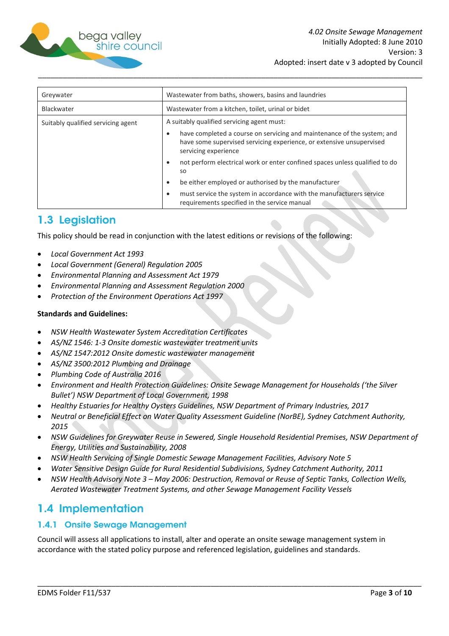

| Greywater                          | Wastewater from baths, showers, basins and laundries                                                                                                                    |
|------------------------------------|-------------------------------------------------------------------------------------------------------------------------------------------------------------------------|
| Blackwater                         | Wastewater from a kitchen, toilet, urinal or bidet                                                                                                                      |
| Suitably qualified servicing agent | A suitably qualified servicing agent must:                                                                                                                              |
|                                    | have completed a course on servicing and maintenance of the system; and<br>have some supervised servicing experience, or extensive unsupervised<br>servicing experience |
|                                    | not perform electrical work or enter confined spaces unless qualified to do<br><b>SO</b><br>be either employed or authorised by the manufacturer<br>٠                   |
|                                    | must service the system in accordance with the manufacturers service<br>requirements specified in the service manual                                                    |

# <span id="page-2-0"></span>1.3 Legislation

This policy should be read in conjunction with the latest editions or revisions of the following:

- *Local Government Act 1993*
- *Local Government (General) Regulation 2005*
- *Environmental Planning and Assessment Act 1979*
- *Environmental Planning and Assessment Regulation 2000*
- *Protection of the Environment Operations Act 1997*

#### **Standards and Guidelines:**

- *NSW Health Wastewater System Accreditation Certificates*
- *AS/NZ 1546: 1-3 Onsite domestic wastewater treatment units*
- *AS/NZ 1547:2012 Onsite domestic wastewater management*
- *AS/NZ 3500:2012 Plumbing and Drainage*
- *Plumbing Code of Australia 2016*
- *Environment and Health Protection Guidelines: Onsite Sewage Management for Households ('the Silver Bullet') NSW Department of Local Government, 1998*
- *Healthy Estuaries for Healthy Oysters Guidelines, NSW Department of Primary Industries, 2017*
- *Neutral or Beneficial Effect on Water Quality Assessment Guideline (NorBE), Sydney Catchment Authority, 2015*
- *NSW Guidelines for Greywater Reuse in Sewered, Single Household Residential Premises, NSW Department of Energy, Utilities and Sustainability, 2008*
- *NSW Health Servicing of Single Domestic Sewage Management Facilities, Advisory Note 5*
- *Water Sensitive Design Guide for Rural Residential Subdivisions, Sydney Catchment Authority, 2011*
- *NSW Health Advisory Note 3 – May 2006: Destruction, Removal or Reuse of Septic Tanks, Collection Wells, Aerated Wastewater Treatment Systems, and other Sewage Management Facility Vessels*

# <span id="page-2-1"></span>1.4 Implementation

### <span id="page-2-2"></span>1.4.1 Onsite Sewage Management

Council will assess all applications to install, alter and operate an onsite sewage management system in accordance with the stated policy purpose and referenced legislation, guidelines and standards.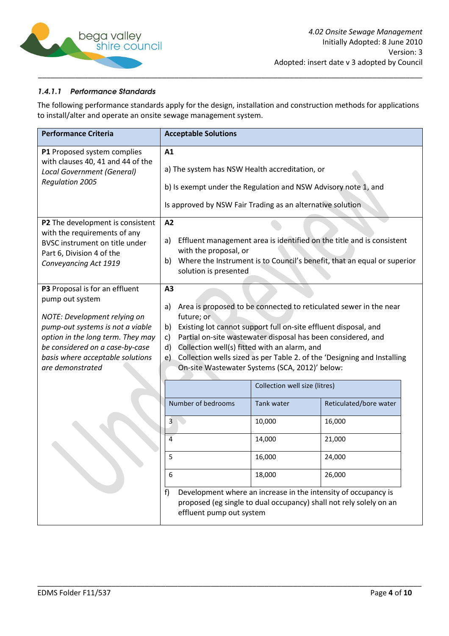

### 1.4.1.1 Performance Standards

The following performance standards apply for the design, installation and construction methods for applications to install/alter and operate an onsite sewage management system.

| <b>Performance Criteria</b>                                                                                                                                                                                                                           | <b>Acceptable Solutions</b>                                                                                                                                                                                                                                                                                                                                                                                                                                          |                                                           |                                                                                                                                                                                                        |
|-------------------------------------------------------------------------------------------------------------------------------------------------------------------------------------------------------------------------------------------------------|----------------------------------------------------------------------------------------------------------------------------------------------------------------------------------------------------------------------------------------------------------------------------------------------------------------------------------------------------------------------------------------------------------------------------------------------------------------------|-----------------------------------------------------------|--------------------------------------------------------------------------------------------------------------------------------------------------------------------------------------------------------|
| P1 Proposed system complies<br>with clauses 40, 41 and 44 of the<br>Local Government (General)<br><b>Regulation 2005</b>                                                                                                                              | A1<br>a) The system has NSW Health accreditation, or<br>b) Is exempt under the Regulation and NSW Advisory note 1, and<br>Is approved by NSW Fair Trading as an alternative solution                                                                                                                                                                                                                                                                                 |                                                           |                                                                                                                                                                                                        |
| P2 The development is consistent<br>with the requirements of any<br>BVSC instrument on title under<br>Part 6, Division 4 of the<br>Conveyancing Act 1919                                                                                              | A2<br>a)<br>with the proposal, or<br>solution is presented                                                                                                                                                                                                                                                                                                                                                                                                           |                                                           | Effluent management area is identified on the title and is consistent<br>b) Where the Instrument is to Council's benefit, that an equal or superior                                                    |
| P3 Proposal is for an effluent<br>pump out system<br>NOTE: Development relying on<br>pump-out systems is not a viable<br>option in the long term. They may<br>be considered on a case-by-case<br>basis where acceptable solutions<br>are demonstrated | A3<br>Area is proposed to be connected to reticulated sewer in the near<br>a)<br>future; or<br>Existing lot cannot support full on-site effluent disposal, and<br>b)<br>Partial on-site wastewater disposal has been considered, and<br>c)<br>Collection well(s) fitted with an alarm, and<br>d)<br>Collection wells sized as per Table 2. of the 'Designing and Installing<br>e)<br>On-site Wastewater Systems (SCA, 2012)' below:<br>Collection well size (litres) |                                                           |                                                                                                                                                                                                        |
|                                                                                                                                                                                                                                                       | Number of bedrooms<br>3<br>4<br>5<br>6<br>f)<br>effluent pump out system                                                                                                                                                                                                                                                                                                                                                                                             | <b>Tank water</b><br>10,000<br>14,000<br>16,000<br>18,000 | Reticulated/bore water<br>16,000<br>21,000<br>24,000<br>26,000<br>Development where an increase in the intensity of occupancy is<br>proposed (eg single to dual occupancy) shall not rely solely on an |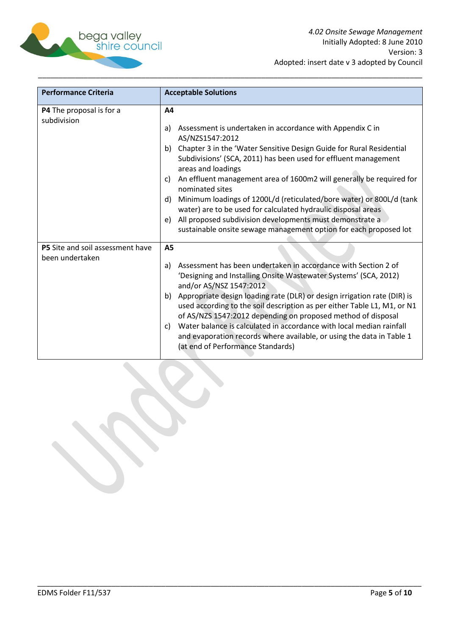

| <b>Performance Criteria</b>                                | <b>Acceptable Solutions</b>                                                                                                                                                                                                                                                                                                                                                                                                                                                                                                                                                                                                                         |
|------------------------------------------------------------|-----------------------------------------------------------------------------------------------------------------------------------------------------------------------------------------------------------------------------------------------------------------------------------------------------------------------------------------------------------------------------------------------------------------------------------------------------------------------------------------------------------------------------------------------------------------------------------------------------------------------------------------------------|
| P4 The proposal is for a<br>subdivision                    | A4<br>Assessment is undertaken in accordance with Appendix C in<br>a)<br>AS/NZS1547:2012<br>b) Chapter 3 in the 'Water Sensitive Design Guide for Rural Residential<br>Subdivisions' (SCA, 2011) has been used for effluent management<br>areas and loadings<br>An effluent management area of 1600m2 will generally be required for<br>C)<br>nominated sites<br>Minimum loadings of 1200L/d (reticulated/bore water) or 800L/d (tank<br>d)<br>water) are to be used for calculated hydraulic disposal areas<br>All proposed subdivision developments must demonstrate a<br>e)<br>sustainable onsite sewage management option for each proposed lot |
| <b>P5</b> Site and soil assessment have<br>been undertaken | <b>A5</b><br>Assessment has been undertaken in accordance with Section 2 of<br>a)<br>'Designing and Installing Onsite Wastewater Systems' (SCA, 2012)<br>and/or AS/NSZ 1547:2012<br>b) Appropriate design loading rate (DLR) or design irrigation rate (DIR) is<br>used according to the soil description as per either Table L1, M1, or N1<br>of AS/NZS 1547:2012 depending on proposed method of disposal<br>Water balance is calculated in accordance with local median rainfall<br>C)<br>and evaporation records where available, or using the data in Table 1<br>(at end of Performance Standards)                                             |

\_\_\_\_\_\_\_\_\_\_\_\_\_\_\_\_\_\_\_\_\_\_\_\_\_\_\_\_\_\_\_\_\_\_\_\_\_\_\_\_\_\_\_\_\_\_\_\_\_\_\_\_\_\_\_\_\_\_\_\_\_\_\_\_\_\_\_\_\_\_\_\_\_\_\_\_\_\_\_\_\_\_\_\_\_\_\_\_\_\_\_\_\_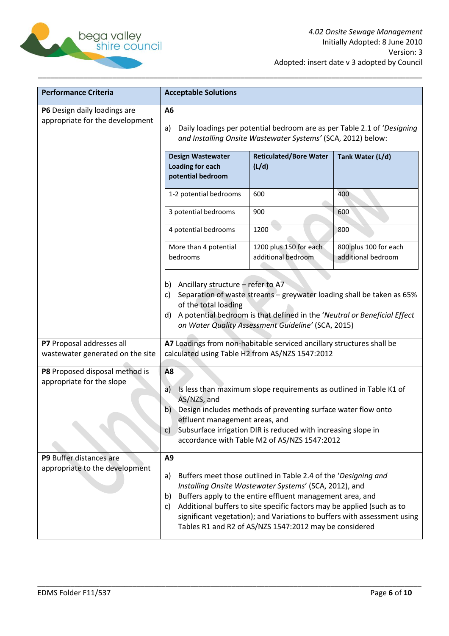

| <b>Performance Criteria</b>                                     | <b>Acceptable Solutions</b>                                                                                                                                                                                                                                                                                                             |                                                                                                                                                                                                                                                                                                                           |                                                                          |
|-----------------------------------------------------------------|-----------------------------------------------------------------------------------------------------------------------------------------------------------------------------------------------------------------------------------------------------------------------------------------------------------------------------------------|---------------------------------------------------------------------------------------------------------------------------------------------------------------------------------------------------------------------------------------------------------------------------------------------------------------------------|--------------------------------------------------------------------------|
| P6 Design daily loadings are<br>appropriate for the development | A <sub>6</sub><br>Daily loadings per potential bedroom are as per Table 2.1 of 'Designing<br>a)<br>and Installing Onsite Wastewater Systems' (SCA, 2012) below:                                                                                                                                                                         |                                                                                                                                                                                                                                                                                                                           |                                                                          |
|                                                                 | <b>Design Wastewater</b><br><b>Loading for each</b><br>potential bedroom                                                                                                                                                                                                                                                                | <b>Reticulated/Bore Water</b><br>(L/d)                                                                                                                                                                                                                                                                                    | Tank Water (L/d)                                                         |
|                                                                 | 1-2 potential bedrooms                                                                                                                                                                                                                                                                                                                  | 600                                                                                                                                                                                                                                                                                                                       | 400                                                                      |
|                                                                 | 3 potential bedrooms                                                                                                                                                                                                                                                                                                                    | 900                                                                                                                                                                                                                                                                                                                       | 600                                                                      |
|                                                                 | 4 potential bedrooms                                                                                                                                                                                                                                                                                                                    | 1200                                                                                                                                                                                                                                                                                                                      | 800                                                                      |
|                                                                 | More than 4 potential<br>bedrooms                                                                                                                                                                                                                                                                                                       | 1200 plus 150 for each<br>additional bedroom                                                                                                                                                                                                                                                                              | 800 plus 100 for each<br>additional bedroom                              |
|                                                                 | b) Ancillary structure - refer to A7<br>C)<br>of the total loading<br>d)                                                                                                                                                                                                                                                                | A potential bedroom is that defined in the 'Neutral or Beneficial Effect<br>on Water Quality Assessment Guideline' (SCA, 2015)                                                                                                                                                                                            | Separation of waste streams - greywater loading shall be taken as 65%    |
| P7 Proposal addresses all<br>wastewater generated on the site   |                                                                                                                                                                                                                                                                                                                                         | A7 Loadings from non-habitable serviced ancillary structures shall be<br>calculated using Table H2 from AS/NZS 1547:2012                                                                                                                                                                                                  |                                                                          |
| P8 Proposed disposal method is<br>appropriate for the slope     | A8<br>Is less than maximum slope requirements as outlined in Table K1 of<br>a)<br>AS/NZS, and<br>Design includes methods of preventing surface water flow onto<br>b)<br>effluent management areas, and<br>Subsurface irrigation DIR is reduced with increasing slope in<br>$\mathsf{C}$<br>accordance with Table M2 of AS/NZS 1547:2012 |                                                                                                                                                                                                                                                                                                                           |                                                                          |
| P9 Buffer distances are<br>appropriate to the development       | A <sub>9</sub><br>a)<br>b)<br>C)                                                                                                                                                                                                                                                                                                        | Buffers meet those outlined in Table 2.4 of the 'Designing and<br>Installing Onsite Wastewater Systems' (SCA, 2012), and<br>Buffers apply to the entire effluent management area, and<br>Additional buffers to site specific factors may be applied (such as to<br>Tables R1 and R2 of AS/NZS 1547:2012 may be considered | significant vegetation); and Variations to buffers with assessment using |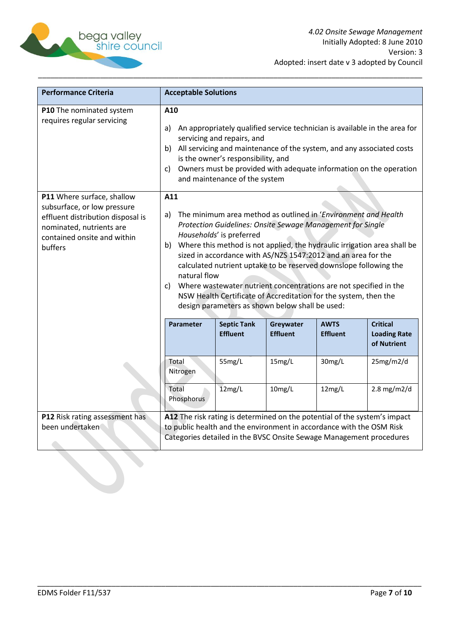

| <b>Performance Criteria</b>                                                                                                                                          | <b>Acceptable Solutions</b>                                                                                                                                                                                                                                                                                                                                                                                                                                                                                                                                                                                  |                                       |                              |                                                                                                                                             |                                                       |
|----------------------------------------------------------------------------------------------------------------------------------------------------------------------|--------------------------------------------------------------------------------------------------------------------------------------------------------------------------------------------------------------------------------------------------------------------------------------------------------------------------------------------------------------------------------------------------------------------------------------------------------------------------------------------------------------------------------------------------------------------------------------------------------------|---------------------------------------|------------------------------|---------------------------------------------------------------------------------------------------------------------------------------------|-------------------------------------------------------|
| P10 The nominated system<br>requires regular servicing                                                                                                               | A10<br>An appropriately qualified service technician is available in the area for<br>a)<br>servicing and repairs, and<br>All servicing and maintenance of the system, and any associated costs<br>b)<br>is the owner's responsibility, and<br>Owners must be provided with adequate information on the operation<br>c)<br>and maintenance of the system                                                                                                                                                                                                                                                      |                                       |                              |                                                                                                                                             |                                                       |
| P11 Where surface, shallow<br>subsurface, or low pressure<br>effluent distribution disposal is<br>nominated, nutrients are<br>contained onsite and within<br>buffers | A11<br>The minimum area method as outlined in 'Environment and Health<br>a)<br>Protection Guidelines: Onsite Sewage Management for Single<br>Households' is preferred<br>b) Where this method is not applied, the hydraulic irrigation area shall be<br>sized in accordance with AS/NZS 1547:2012 and an area for the<br>calculated nutrient uptake to be reserved downslope following the<br>natural flow<br>Where wastewater nutrient concentrations are not specified in the<br>c)<br>NSW Health Certificate of Accreditation for the system, then the<br>design parameters as shown below shall be used: |                                       |                              |                                                                                                                                             |                                                       |
|                                                                                                                                                                      | <b>Parameter</b>                                                                                                                                                                                                                                                                                                                                                                                                                                                                                                                                                                                             | <b>Septic Tank</b><br><b>Effluent</b> | Greywater<br><b>Effluent</b> | <b>AWTS</b><br><b>Effluent</b>                                                                                                              | <b>Critical</b><br><b>Loading Rate</b><br>of Nutrient |
|                                                                                                                                                                      | Total<br>Nitrogen                                                                                                                                                                                                                                                                                                                                                                                                                                                                                                                                                                                            | 55mg/L                                | 15mg/L                       | 30mg/L                                                                                                                                      | 25mg/m2/d                                             |
|                                                                                                                                                                      | Total<br>Phosphorus                                                                                                                                                                                                                                                                                                                                                                                                                                                                                                                                                                                          | 12mg/L                                | 10mg/L                       | 12mg/L                                                                                                                                      | $2.8$ mg/m2/d                                         |
| P12 Risk rating assessment has<br>been undertaken                                                                                                                    | A12 The risk rating is determined on the potential of the system's impact                                                                                                                                                                                                                                                                                                                                                                                                                                                                                                                                    |                                       |                              | to public health and the environment in accordance with the OSM Risk<br>Categories detailed in the BVSC Onsite Sewage Management procedures |                                                       |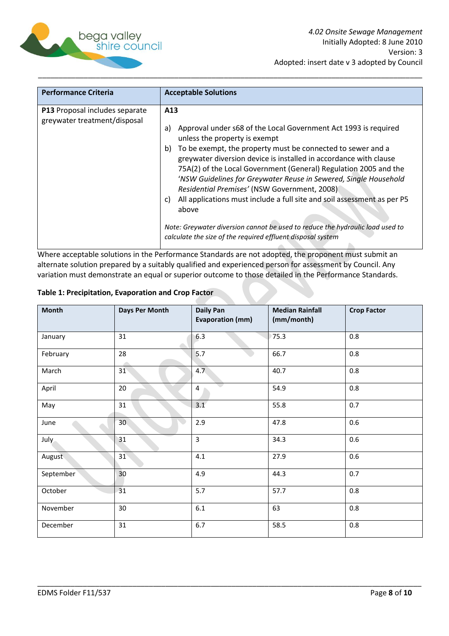

| <b>Performance Criteria</b>                                    | <b>Acceptable Solutions</b>                                                                                                                                                                                                                                                                                                                                                                                                                                                                                                                                                                                                                                                               |
|----------------------------------------------------------------|-------------------------------------------------------------------------------------------------------------------------------------------------------------------------------------------------------------------------------------------------------------------------------------------------------------------------------------------------------------------------------------------------------------------------------------------------------------------------------------------------------------------------------------------------------------------------------------------------------------------------------------------------------------------------------------------|
| P13 Proposal includes separate<br>greywater treatment/disposal | A13<br>Approval under s68 of the Local Government Act 1993 is required<br>a)<br>unless the property is exempt<br>To be exempt, the property must be connected to sewer and a<br>b)<br>greywater diversion device is installed in accordance with clause<br>75A(2) of the Local Government (General) Regulation 2005 and the<br>'NSW Guidelines for Greywater Reuse in Sewered, Single Household<br>Residential Premises' (NSW Government, 2008)<br>All applications must include a full site and soil assessment as per P5<br>C)<br>above<br>Note: Greywater diversion cannot be used to reduce the hydraulic load used to<br>calculate the size of the required effluent disposal system |

Where acceptable solutions in the Performance Standards are not adopted, the proponent must submit an alternate solution prepared by a suitably qualified and experienced person for assessment by Council. Any variation must demonstrate an equal or superior outcome to those detailed in the Performance Standards.

| Table 1: Precipitation, Evaporation and Crop Factor |  |  |  |  |  |  |
|-----------------------------------------------------|--|--|--|--|--|--|
|-----------------------------------------------------|--|--|--|--|--|--|

| <b>Month</b> | Days Per Month | <b>Daily Pan</b><br><b>Evaporation (mm)</b> | <b>Median Rainfall</b><br>(mm/month) | <b>Crop Factor</b> |
|--------------|----------------|---------------------------------------------|--------------------------------------|--------------------|
| January      | 31             | 6.3                                         | 75.3                                 | 0.8                |
| February     | 28             | 5.7                                         | 66.7                                 | 0.8                |
| March        | 31             | 4.7                                         | 40.7                                 | $0.8\,$            |
| April        | 20             | $\overline{4}$                              | 54.9                                 | 0.8                |
| May          | 31             | 3.1                                         | 55.8                                 | 0.7                |
| June         | 30             | 2.9                                         | 47.8                                 | 0.6                |
| July         | 31             | $\overline{3}$                              | 34.3                                 | 0.6                |
| August       | 31             | 4.1                                         | 27.9                                 | 0.6                |
| September    | 30             | 4.9                                         | 44.3                                 | 0.7                |
| October      | 31             | 5.7                                         | 57.7                                 | 0.8                |
| November     | 30             | $6.1\,$                                     | 63                                   | 0.8                |
| December     | 31             | 6.7                                         | 58.5                                 | 0.8                |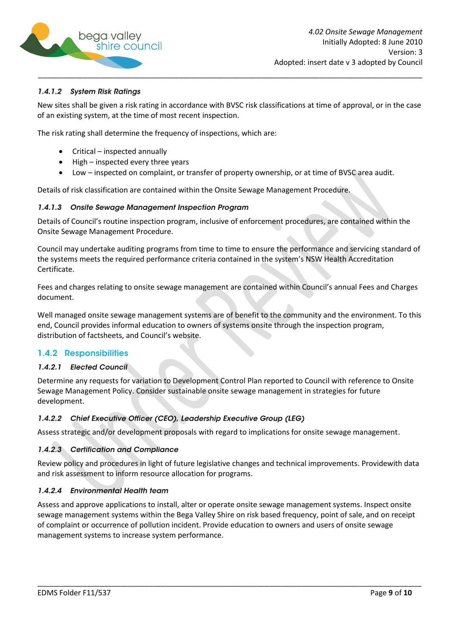

### 1.4.1.2 System Risk Ratings

New sites shall be given a risk rating in accordance with BVSC risk classifications at time of approval, or in the case of an existing system, at the time of most recent inspection.

The risk rating shall determine the frequency of inspections, which are:

- Critical inspected annually
- High inspected every three years
- Low inspected on complaint, or transfer of property ownership, or at time of BVSC area audit.

Details of risk classification are contained within the Onsite Sewage Management Procedure.

#### 1.4.1.3 Onsite Sewage Management Inspection Program

Details of Council's routine inspection program, inclusive of enforcement procedures, are contained within the Onsite Sewage Management Procedure.

Council may undertake auditing programs from time to time to ensure the performance and servicing standard of the systems meets the required performance criteria contained in the system's NSW Health Accreditation Certificate.

Fees and charges relating to onsite sewage management are contained within Council's annual Fees and Charges document.

Well managed onsite sewage management systems are of benefit to the community and the environment. To this end, Council provides informal education to owners of systems onsite through the inspection program, distribution of factsheets, and Council's website.

### <span id="page-8-0"></span>**1.4.2 Responsibilities**

#### 1.4.2.1 Elected Council

Determine any requests for variation to Development Control Plan reported to Council with reference to Onsite Sewage Management Policy. Consider sustainable onsite sewage management in strategies for future development.

#### 1.4.2.2 Chief Executive Officer (CEO), Leadership Executive Group (LEG)

Assess strategic and/or development proposals with regard to implications for onsite sewage management.

#### 1.4.2.3 Certification and Compliance

Review policy and procedures in light of future legislative changes and technical improvements. Providewith data and risk assessment to inform resource allocation for programs.

#### 1.4.2.4 Environmental Health team

Assess and approve applications to install, alter or operate onsite sewage management systems. Inspect onsite sewage management systems within the Bega Valley Shire on risk based frequency, point of sale, and on receipt of complaint or occurrence of pollution incident. Provide education to owners and users of onsite sewage management systems to increase system performance.